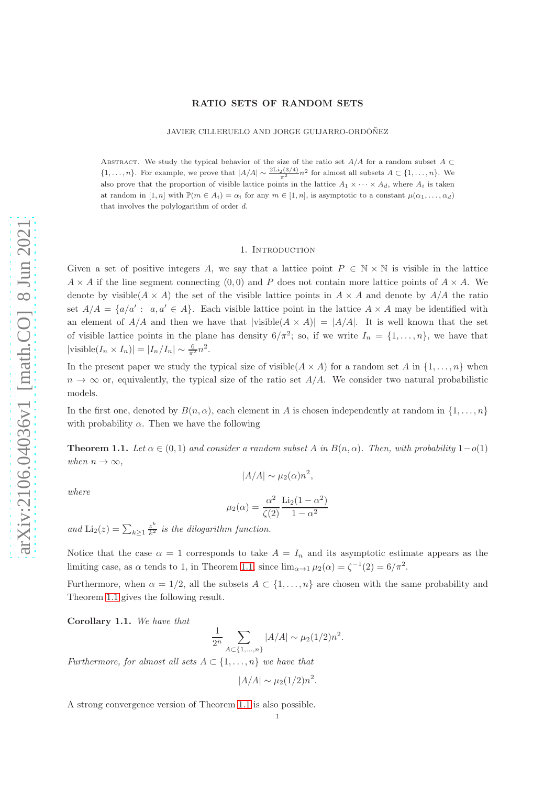### RATIO SETS OF RANDOM SETS

JAVIER CILLERUELO AND JORGE GUIJARRO-ORDÓÑEZ

ABSTRACT. We study the typical behavior of the size of the ratio set  $A/A$  for a random subset  $A \subset$  $\{1,\ldots,n\}$ . For example, we prove that  $|A/A| \sim \frac{2\text{Li}_2(3/4)}{\pi^2} n^2$  for almost all subsets  $A \subset \{1,\ldots,n\}$ . We also prove that the proportion of visible lattice points in the lattice  $A_1 \times \cdots \times A_d$ , where  $A_i$  is taken at random in  $[1, n]$  with  $\mathbb{P}(m \in A_i) = \alpha_i$  for any  $m \in [1, n]$ , is asymptotic to a constant  $\mu(\alpha_1, \ldots, \alpha_d)$ that involves the polylogarithm of order d.

## 1. Introduction

Given a set of positive integers A, we say that a lattice point  $P \in \mathbb{N} \times \mathbb{N}$  is visible in the lattice  $A \times A$  if the line segment connecting (0,0) and P does not contain more lattice points of  $A \times A$ . We denote by visible( $A \times A$ ) the set of the visible lattice points in  $A \times A$  and denote by  $A/A$  the ratio set  $A/A = \{a/a' : a, a' \in A\}$ . Each visible lattice point in the lattice  $A \times A$  may be identified with an element of  $A/A$  and then we have that  $|visible(A \times A)| = |A/A|$ . It is well known that the set of visible lattice points in the plane has density  $6/\pi^2$ ; so, if we write  $I_n = \{1, ..., n\}$ , we have that  $|\text{visible}(I_n \times I_n)| = |I_n/I_n| \sim \frac{6}{\pi^2} n^2.$ 

In the present paper we study the typical size of visible( $A \times A$ ) for a random set A in  $\{1, \ldots, n\}$  when  $n \to \infty$  or, equivalently, the typical size of the ratio set  $A/A$ . We consider two natural probabilistic models.

In the first one, denoted by  $B(n, \alpha)$ , each element in A is chosen independently at random in  $\{1, \ldots, n\}$ with probability  $\alpha$ . Then we have the following

<span id="page-0-0"></span>**Theorem 1.1.** Let  $\alpha \in (0,1)$  and consider a random subset A in  $B(n,\alpha)$ . Then, with probability 1 – o(1) when  $n \to \infty$ ,

 $|A/A| \sim \mu_2(\alpha) n^2$ ,

$$
f_{\rm{max}}
$$

$$
\mu_2(\alpha) = \frac{\alpha^2}{\zeta(2)} \frac{\text{Li}_2(1 - \alpha^2)}{1 - \alpha^2}
$$

and  $\text{Li}_2(z) = \sum_{k \geq 1} \frac{z^k}{k^2}$  is the dilogarithm function.

Notice that the case  $\alpha = 1$  corresponds to take  $A = I_n$  and its asymptotic estimate appears as the limiting case, as  $\alpha$  tends to 1, in Theorem [1.1,](#page-0-0) since  $\lim_{\alpha \to 1} \mu_2(\alpha) = \zeta^{-1}(2) = 6/\pi^2$ .

Furthermore, when  $\alpha = 1/2$ , all the subsets  $A \subset \{1, \ldots, n\}$  are chosen with the same probability and Theorem [1.1](#page-0-0) gives the following result.

Corollary 1.1. We have that

$$
\frac{1}{2^n} \sum_{A \subset \{1,\dots,n\}} |A/A| \sim \mu_2(1/2)n^2.
$$

Furthermore, for almost all sets  $A \subset \{1, \ldots, n\}$  we have that

$$
|A/A| \sim \mu_2(1/2)n^2.
$$

A strong convergence version of Theorem [1.1](#page-0-0) is also possible.

where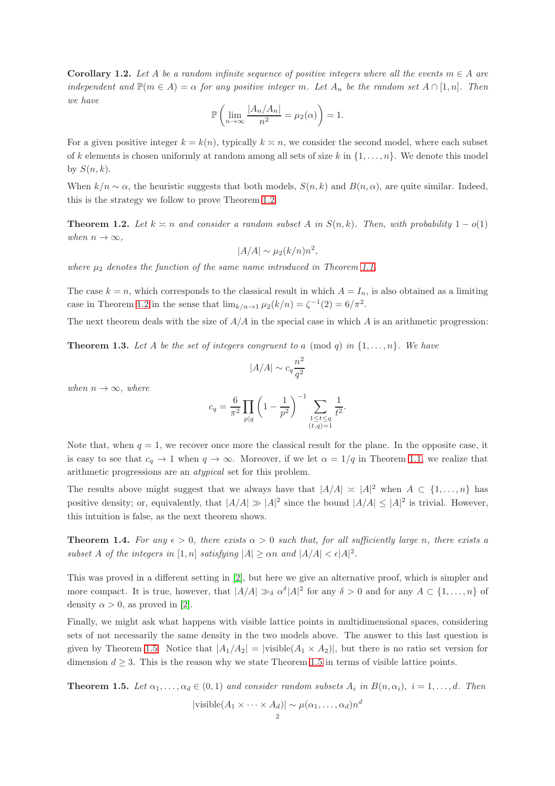<span id="page-1-2"></span>**Corollary 1.2.** Let A be a random infinite sequence of positive integers where all the events  $m \in A$  are independent and  $\mathbb{P}(m \in A) = \alpha$  for any positive integer m. Let  $A_n$  be the random set  $A \cap [1,n]$ . Then we have

$$
\mathbb{P}\left(\lim_{n\to\infty}\frac{|A_n/A_n|}{n^2}=\mu_2(\alpha)\right)=1.
$$

For a given positive integer  $k = k(n)$ , typically  $k \geq n$ , we consider the second model, where each subset of k elements is chosen uniformly at random among all sets of size k in  $\{1, \ldots, n\}$ . We denote this model by  $S(n, k)$ .

When  $k/n \sim \alpha$ , the heuristic suggests that both models,  $S(n, k)$  and  $B(n, \alpha)$ , are quite similar. Indeed, this is the strategy we follow to prove Theorem [1.2.](#page-1-0)

<span id="page-1-0"></span>**Theorem 1.2.** Let  $k \ge n$  and consider a random subset A in  $S(n, k)$ . Then, with probability  $1 - o(1)$ when  $n \to \infty$ ,

$$
|A/A| \sim \mu_2(k/n)n^2,
$$

where  $\mu_2$  denotes the function of the same name introduced in Theorem [1.1.](#page-0-0)

The case  $k = n$ , which corresponds to the classical result in which  $A = I_n$ , is also obtained as a limiting case in Theorem [1.2](#page-1-0) in the sense that  $\lim_{k/n \to 1} \mu_2(k/n) = \zeta^{-1}(2) = 6/\pi^2$ .

The next theorem deals with the size of  $A/A$  in the special case in which A is an arithmetic progression:

<span id="page-1-3"></span>**Theorem 1.3.** Let A be the set of integers congruent to a (mod q) in  $\{1, \ldots, n\}$ . We have

$$
|A/A| \sim c_q \frac{n^2}{q^2}
$$

when  $n \to \infty$ , where

$$
c_q = \frac{6}{\pi^2} \prod_{p|q} \left(1 - \frac{1}{p^2}\right)^{-1} \sum_{\substack{1 \le t \le q \\ (t,q)=1}} \frac{1}{t^2}
$$

.

Note that, when  $q = 1$ , we recover once more the classical result for the plane. In the opposite case, it is easy to see that  $c_q \to 1$  when  $q \to \infty$ . Moreover, if we let  $\alpha = 1/q$  in Theorem [1.1,](#page-0-0) we realize that arithmetic progressions are an atypical set for this problem.

The results above might suggest that we always have that  $|A/A| \approx |A|^2$  when  $A \subset \{1, ..., n\}$  has positive density; or, equivalently, that  $|A/A| \gg |A|^2$  since the bound  $|A/A| \leq |A|^2$  is trivial. However, this intuition is false, as the next theorem shows.

<span id="page-1-4"></span>**Theorem 1.4.** For any  $\epsilon > 0$ , there exists  $\alpha > 0$  such that, for all sufficiently large n, there exists a subset A of the integers in  $[1, n]$  satisfying  $|A| \ge \alpha n$  and  $|A/A| < \epsilon |A|^2$ .

This was proved in a different setting in [\[2\]](#page-12-0), but here we give an alternative proof, which is simpler and more compact. It is true, however, that  $|A/A| \gg \delta \alpha^{\delta} |A|^2$  for any  $\delta > 0$  and for any  $A \subset \{1, ..., n\}$  of density  $\alpha > 0$ , as proved in [\[2\]](#page-12-0).

Finally, we might ask what happens with visible lattice points in multidimensional spaces, considering sets of not necessarily the same density in the two models above. The answer to this last question is given by Theorem [1.5.](#page-1-1) Notice that  $|A_1/A_2| = |$  visible $(A_1 \times A_2)|$ , but there is no ratio set version for dimension  $d \geq 3$ . This is the reason why we state Theorem [1.5](#page-1-1) in terms of visible lattice points.

<span id="page-1-1"></span>**Theorem 1.5.** Let  $\alpha_1, \ldots, \alpha_d \in (0,1)$  and consider random subsets  $A_i$  in  $B(n, \alpha_i)$ ,  $i = 1, \ldots, d$ . Then

$$
|\text{visible}(A_1 \times \cdots \times A_d)| \sim \mu(\alpha_1, \ldots, \alpha_d) n^d
$$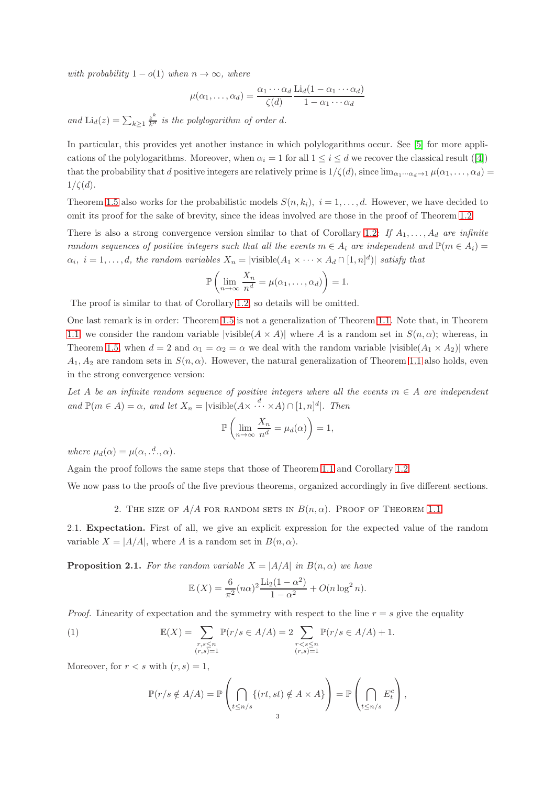with probability  $1 - o(1)$  when  $n \to \infty$ , where

$$
\mu(\alpha_1,\ldots,\alpha_d) = \frac{\alpha_1\cdots\alpha_d}{\zeta(d)} \frac{\text{Li}_d(1-\alpha_1\cdots\alpha_d)}{1-\alpha_1\cdots\alpha_d}
$$

and  $\text{Li}_d(z) = \sum_{k \geq 1} \frac{z^k}{k^d}$  is the polylogarithm of order d.

In particular, this provides yet another instance in which polylogarithms occur. See [\[5\]](#page-13-0) for more applications of the polylogarithms. Moreover, when  $\alpha_i = 1$  for all  $1 \leq i \leq d$  we recover the classical result ([\[4\]](#page-13-1)) that the probability that d positive integers are relatively prime is  $1/\zeta(d)$ , since  $\lim_{\alpha_1\cdots\alpha_d\to 1} \mu(\alpha_1,\ldots,\alpha_d)$  $1/\zeta(d)$ .

Theorem [1.5](#page-1-1) also works for the probabilistic models  $S(n, k_i)$ ,  $i = 1, \ldots, d$ . However, we have decided to omit its proof for the sake of brevity, since the ideas involved are those in the proof of Theorem [1.2.](#page-1-0)

There is also a strong convergence version similar to that of Corollary [1.2:](#page-1-2) If  $A_1, \ldots, A_d$  are infinite random sequences of positive integers such that all the events  $m \in A_i$  are independent and  $\mathbb{P}(m \in A_i)$  $\alpha_i, i = 1, \ldots, d$ , the random variables  $X_n = |\text{visible}(A_1 \times \cdots \times A_d \cap [1, n]^d)|$  satisfy that

$$
\mathbb{P}\left(\lim_{n\to\infty}\frac{X_n}{n^d}=\mu(\alpha_1,\ldots,\alpha_d)\right)=1.
$$

The proof is similar to that of Corollary [1.2,](#page-1-2) so details will be omitted.

One last remark is in order: Theorem [1.5](#page-1-1) is not a generalization of Theorem [1.1.](#page-0-0) Note that, in Theorem [1.1,](#page-0-0) we consider the random variable  $|visible(A \times A)|$  where A is a random set in  $S(n, \alpha)$ ; whereas, in Theorem [1.5,](#page-1-1) when  $d = 2$  and  $\alpha_1 = \alpha_2 = \alpha$  we deal with the random variable  $|visible(A_1 \times A_2)|$  where  $A_1, A_2$  are random sets in  $S(n, \alpha)$ . However, the natural generalization of Theorem [1.1](#page-0-0) also holds, even in the strong convergence version:

Let A be an infinite random sequence of positive integers where all the events  $m \in A$  are independent and  $\mathbb{P}(m \in A) = \alpha$ , and let  $X_n = |\text{visible}(A \times \cdots \times A) \cap [1, n]^d|$ . Then

$$
\mathbb{P}\left(\lim_{n\to\infty}\frac{X_n}{n^d}=\mu_d(\alpha)\right)=1,
$$

where  $\mu_d(\alpha) = \mu(\alpha, \dots^d, \alpha)$ .

Again the proof follows the same steps that those of Theorem [1.1](#page-0-0) and Corollary [1.2.](#page-1-2)

We now pass to the proofs of the five previous theorems, organized accordingly in five different sections.

2. THE SIZE OF  $A/A$  for random sets in  $B(n, \alpha)$ . Proof of Theorem [1.1](#page-0-0)

2.1. Expectation. First of all, we give an explicit expression for the expected value of the random variable  $X = |A/A|$ , where A is a random set in  $B(n, \alpha)$ .

<span id="page-2-1"></span>**Proposition 2.1.** For the random variable  $X = |A/A|$  in  $B(n, \alpha)$  we have

$$
\mathbb{E}(X) = \frac{6}{\pi^2} (n\alpha)^2 \frac{\text{Li}_2(1-\alpha^2)}{1-\alpha^2} + O(n\log^2 n).
$$

*Proof.* Linearity of expectation and the symmetry with respect to the line  $r = s$  give the equality

(1) 
$$
\mathbb{E}(X) = \sum_{\substack{r,s \le n \\ (r,s)=1}} \mathbb{P}(r/s \in A/A) = 2 \sum_{\substack{r
$$

Moreover, for  $r < s$  with  $(r, s) = 1$ ,

<span id="page-2-0"></span>
$$
\mathbb{P}(r/s \notin A/A) = \mathbb{P}\left(\bigcap_{t \leq n/s} \{(rt, st) \notin A \times A\}\right) = \mathbb{P}\left(\bigcap_{t \leq n/s} E_t^c\right),\,
$$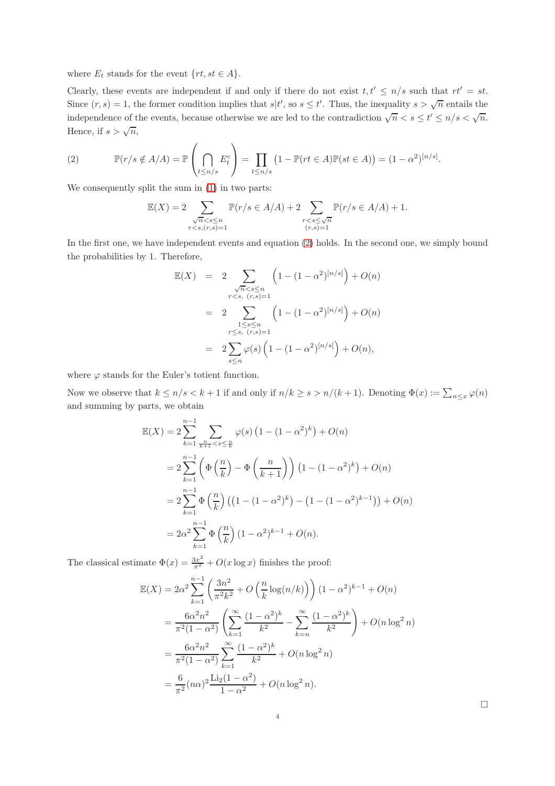where  $E_t$  stands for the event  $\{rt, st \in A\}.$ 

Clearly, these events are independent if and only if there do not exist  $t, t' \leq n/s$  such that  $rt' = st$ . Since  $(r, s) = 1$ , the former condition implies that  $s \mid t'$ , so  $s \leq t'$ . Thus, the inequality  $s > \sqrt{n}$  entails the independence of the events, because otherwise we are led to the contradiction  $\sqrt{n} < s \le t' \le n/s < \sqrt{n}$ . Hence, if  $s > \sqrt{n}$ ,

<span id="page-3-0"></span>(2) 
$$
\mathbb{P}(r/s \notin A/A) = \mathbb{P}\left(\bigcap_{t \leq n/s} E_t^c\right) = \prod_{t \leq n/s} \left(1 - \mathbb{P}(rt \in A)\mathbb{P}(st \in A)\right) = (1 - \alpha^2)^{[n/s]}.
$$

We consequently split the sum in [\(1\)](#page-2-0) in two parts:

$$
\mathbb{E}(X) = 2 \sum_{\substack{\sqrt{n} < s \le n \\ r < s, (r, s) = 1}} \mathbb{P}(r/s \in A/A) + 2 \sum_{\substack{r < s \le \sqrt{n} \\ (r, s) = 1}} \mathbb{P}(r/s \in A/A) + 1.
$$

In the first one, we have independent events and equation [\(2\)](#page-3-0) holds. In the second one, we simply bound the probabilities by 1. Therefore,

$$
\mathbb{E}(X) = 2 \sum_{\substack{\sqrt{n} < s \le n \\ r < s, (r,s) = 1}} \left( 1 - (1 - \alpha^2)^{[n/s]} \right) + O(n)
$$
\n
$$
= 2 \sum_{\substack{1 \le s \le n \\ r \le s, (r,s) = 1}} \left( 1 - (1 - \alpha^2)^{[n/s]} \right) + O(n)
$$
\n
$$
= 2 \sum_{s \le n} \varphi(s) \left( 1 - (1 - \alpha^2)^{[n/s]} \right) + O(n),
$$

where  $\varphi$  stands for the Euler's totient function.

Now we observe that  $k \leq n/s < k+1$  if and only if  $n/k \geq s > n/(k+1)$ . Denoting  $\Phi(x) := \sum_{n \leq x} \varphi(n)$ and summing by parts, we obtain

$$
\mathbb{E}(X) = 2 \sum_{k=1}^{n-1} \sum_{\frac{n}{k+1} < s \leq \frac{n}{k}} \varphi(s) \left( 1 - (1 - \alpha^2)^k \right) + O(n)
$$
\n
$$
= 2 \sum_{k=1}^{n-1} \left( \Phi\left(\frac{n}{k}\right) - \Phi\left(\frac{n}{k+1}\right) \right) \left( 1 - (1 - \alpha^2)^k \right) + O(n)
$$
\n
$$
= 2 \sum_{k=1}^{n-1} \Phi\left(\frac{n}{k}\right) \left( \left( 1 - (1 - \alpha^2)^k \right) - \left( 1 - (1 - \alpha^2)^{k-1} \right) \right) + O(n)
$$
\n
$$
= 2\alpha^2 \sum_{k=1}^{n-1} \Phi\left(\frac{n}{k}\right) \left( 1 - \alpha^2 \right)^{k-1} + O(n).
$$

The classical estimate  $\Phi(x) = \frac{3x^2}{\pi^2} + O(x \log x)$  finishes the proof:

$$
\mathbb{E}(X) = 2\alpha^2 \sum_{k=1}^{n-1} \left( \frac{3n^2}{\pi^2 k^2} + O\left(\frac{n}{k} \log(n/k)\right) \right) (1 - \alpha^2)^{k-1} + O(n)
$$
  
=  $\frac{6\alpha^2 n^2}{\pi^2 (1 - \alpha^2)} \left( \sum_{k=1}^{\infty} \frac{(1 - \alpha^2)^k}{k^2} - \sum_{k=n}^{\infty} \frac{(1 - \alpha^2)^k}{k^2} \right) + O(n \log^2 n)$   
=  $\frac{6\alpha^2 n^2}{\pi^2 (1 - \alpha^2)} \sum_{k=1}^{\infty} \frac{(1 - \alpha^2)^k}{k^2} + O(n \log^2 n)$   
=  $\frac{6}{\pi^2} (n\alpha)^2 \frac{\text{Li}_2(1 - \alpha^2)}{1 - \alpha^2} + O(n \log^2 n).$ 

 $\Box$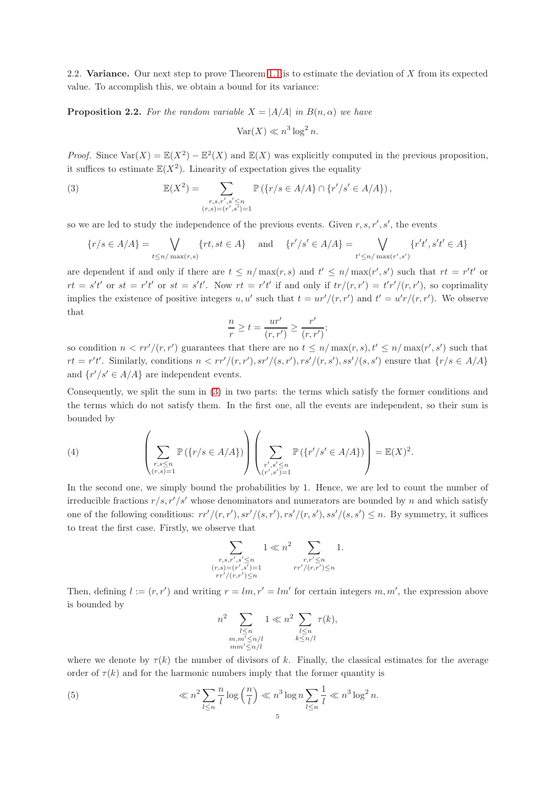2.2. Variance. Our next step to prove Theorem [1.1](#page-0-0) is to estimate the deviation of X from its expected value. To accomplish this, we obtain a bound for its variance:

<span id="page-4-3"></span>**Proposition 2.2.** For the random variable  $X = |A/A|$  in  $B(n, \alpha)$  we have

<span id="page-4-0"></span>
$$
\text{Var}(X) \ll n^3 \log^2 n.
$$

*Proof.* Since  $\text{Var}(X) = \mathbb{E}(X^2) - \mathbb{E}^2(X)$  and  $\mathbb{E}(X)$  was explicitly computed in the previous proposition, it suffices to estimate  $\mathbb{E}(X^2)$ . Linearity of expectation gives the equality

(3) 
$$
\mathbb{E}(X^2) = \sum_{\substack{r,s,r',s' \le n \\ (r,s)=(r',s')=1}} \mathbb{P}(\{r/s \in A/A\} \cap \{r'/s' \in A/A\}),
$$

so we are led to study the independence of the previous events. Given  $r, s, r', s'$ , the events

$$
\{r/s \in A/A\} = \bigvee_{t \le n/\max(r,s)} \{rt, st \in A\} \quad \text{and} \quad \{r'/s' \in A/A\} = \bigvee_{t' \le n/\max(r',s')} \{r't', s't' \in A\}
$$

are dependent if and only if there are  $t \leq n/\max(r, s)$  and  $t' \leq n/\max(r', s')$  such that  $rt = r't'$  or  $rt = s't'$  or  $st = r't'$  or  $st = s't'$ . Now  $rt = r't'$  if and only if  $tr/(r,r') = t'r'/(r,r')$ , so coprimality implies the existence of positive integers u, u' such that  $t = u r'/(r, r')$  and  $t' = u' r/(r, r')$ . We observe that

$$
\frac{n}{r} \ge t = \frac{ur'}{(r, r')} \ge \frac{r'}{(r, r')};
$$

so condition  $n < rr'/(r, r')$  guarantees that there are no  $t \leq n/\max(r, s), t' \leq n/\max(r', s')$  such that  $rt = r't'.$  Similarly, conditions  $n < rr'/(r, r'), sr'/(s, r'), rs'/(r, s'), ss'/(s, s')$  ensure that  $\{r/s \in A/A\}$ and  $\{r'/s' \in A/A\}$  are independent events.

Consequently, we split the sum in [\(3\)](#page-4-0) in two parts: the terms which satisfy the former conditions and the terms which do not satisfy them. In the first one, all the events are independent, so their sum is bounded by

<span id="page-4-1"></span>(4) 
$$
\left(\sum_{\substack{r,s\leq n\\(r,s)=1}}\mathbb{P}(\{r/s\in A/A\})\right)\left(\sum_{\substack{r',s'\leq n\\(r',s')=1}}\mathbb{P}(\{r'/s'\in A/A\})\right)=\mathbb{E}(X)^2.
$$

In the second one, we simply bound the probabilities by 1. Hence, we are led to count the number of irreducible fractions  $r/s$ ,  $r'/s'$  whose denominators and numerators are bounded by n and which satisfy one of the following conditions:  $rr'/(r, r'), sr'/(s, r'), rs'/(r, s'), ss'/(s, s') \leq n$ . By symmetry, it suffices to treat the first case. Firstly, we observe that

$$
\sum_{\substack{r,s,r',s'\leq n\\(r,s)=(r',s')=1\\rr'/(r,r')\leq n}}1\ll n^2\sum_{\substack{r,r'\leq n\\rr'/(r,r')\leq n}}1.
$$

Then, defining  $l := (r, r')$  and writing  $r = lm, r' = lm'$  for certain integers  $m, m'$ , the expression above is bounded by

<span id="page-4-2"></span>
$$
n^{2} \sum_{\substack{l \leq n \\ m, m' \leq n/l}} 1 \ll n^{2} \sum_{\substack{l \leq n \\ k \leq n/l}} \tau(k),
$$
  

$$
n m'' \leq n/l
$$

where we denote by  $\tau(k)$  the number of divisors of k. Finally, the classical estimates for the average order of  $\tau(k)$  and for the harmonic numbers imply that the former quantity is

(5) 
$$
\ll n^2 \sum_{l \leq n} \frac{n}{l} \log\left(\frac{n}{l}\right) \ll n^3 \log n \sum_{l \leq n} \frac{1}{l} \ll n^3 \log^2 n.
$$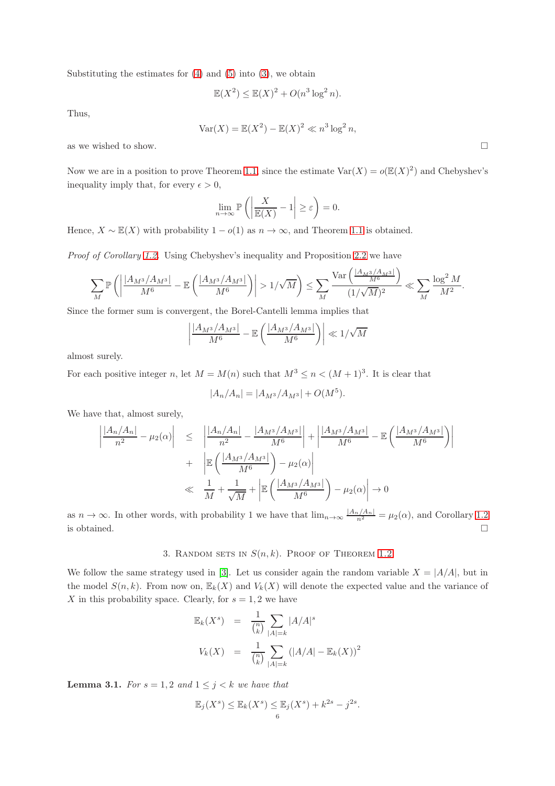Substituting the estimates for  $(4)$  and  $(5)$  into  $(3)$ , we obtain

$$
\mathbb{E}(X^2) \le \mathbb{E}(X)^2 + O(n^3 \log^2 n).
$$

Thus,

$$
\text{Var}(X) = \mathbb{E}(X^2) - \mathbb{E}(X)^2 \ll n^3 \log^2 n,
$$

as we wished to show.  $\hfill \square$ 

Now we are in a position to prove Theorem [1.1,](#page-0-0) since the estimate  $\text{Var}(X) = o(\mathbb{E}(X)^2)$  and Chebyshev's inequality imply that, for every  $\epsilon > 0$ ,

$$
\lim_{n \to \infty} \mathbb{P}\left( \left| \frac{X}{\mathbb{E}(X)} - 1 \right| \ge \varepsilon \right) = 0.
$$

Hence,  $X \sim \mathbb{E}(X)$  with probability  $1 - o(1)$  as  $n \to \infty$ , and Theorem [1.1](#page-0-0) is obtained.

Proof of Corollary [1.2.](#page-1-2) Using Chebyshev's inequality and Proposition [2.2](#page-4-3) we have

$$
\sum_{M} \mathbb{P}\left(\left|\frac{|A_{M^3}/A_{M^3}|}{M^6} - \mathbb{E}\left(\frac{|A_{M^3}/A_{M^3}|}{M^6}\right)\right| > 1/\sqrt{M}\right) \le \sum_{M} \frac{\text{Var}\left(\frac{|A_{M^3}/A_{M^3}|}{M^6}\right)}{(1/\sqrt{M})^2} \ll \sum_{M} \frac{\log^2 M}{M^2}.
$$

Since the former sum is convergent, the Borel-Cantelli lemma implies that

$$
\left| \frac{|A_{M^3}/A_{M^3}|}{M^6} - \mathbb{E}\left(\frac{|A_{M^3}/A_{M^3}|}{M^6}\right) \right| \ll 1/\sqrt{M}
$$

almost surely.

For each positive integer n, let  $M = M(n)$  such that  $M^3 \le n < (M+1)^3$ . It is clear that

$$
|A_n/A_n| = |A_{M^3}/A_{M^3}| + O(M^5).
$$

We have that, almost surely,

$$
\left| \frac{|A_n/A_n|}{n^2} - \mu_2(\alpha) \right| \leq \left| \frac{|A_n/A_n|}{n^2} - \frac{|A_{M^3}/A_{M^3}|}{M^6} \right| + \left| \frac{|A_{M^3}/A_{M^3}|}{M^6} - \mathbb{E}\left(\frac{|A_{M^3}/A_{M^3}|}{M^6}\right) \right|
$$
  
+ 
$$
\left| \mathbb{E}\left(\frac{|A_{M^3}/A_{M^3}|}{M^6}\right) - \mu_2(\alpha) \right|
$$
  

$$
\ll \frac{1}{M} + \frac{1}{\sqrt{M}} + \left| \mathbb{E}\left(\frac{|A_{M^3}/A_{M^3}|}{M^6}\right) - \mu_2(\alpha) \right| \to 0
$$

as  $n \to \infty$ . In other words, with probability 1 we have that  $\lim_{n \to \infty} \frac{|A_n/A_n|}{n^2} = \mu_2(\alpha)$ , and Corollary [1.2](#page-1-2) is obtained.  $\Box$ 

# 3. RANDOM SETS IN  $S(n, k)$ . PROOF OF THEOREM [1.2](#page-1-0)

We follow the same strategy used in [\[3\]](#page-13-2). Let us consider again the random variable  $X = |A/A|$ , but in the model  $S(n, k)$ . From now on,  $\mathbb{E}_k(X)$  and  $V_k(X)$  will denote the expected value and the variance of X in this probability space. Clearly, for  $s = 1, 2$  we have

$$
\mathbb{E}_k(X^s) = \frac{1}{\binom{n}{k}} \sum_{|A|=k} |A/A|^s
$$
  

$$
V_k(X) = \frac{1}{\binom{n}{k}} \sum_{|A|=k} (|A/A| - \mathbb{E}_k(X))^2
$$

<span id="page-5-0"></span>**Lemma 3.1.** For  $s = 1, 2$  and  $1 \leq j \leq k$  we have that

$$
\mathbb{E}_j(X^s) \le \mathbb{E}_k(X^s) \le \mathbb{E}_j(X^s) + k^{2s} - j^{2s}.
$$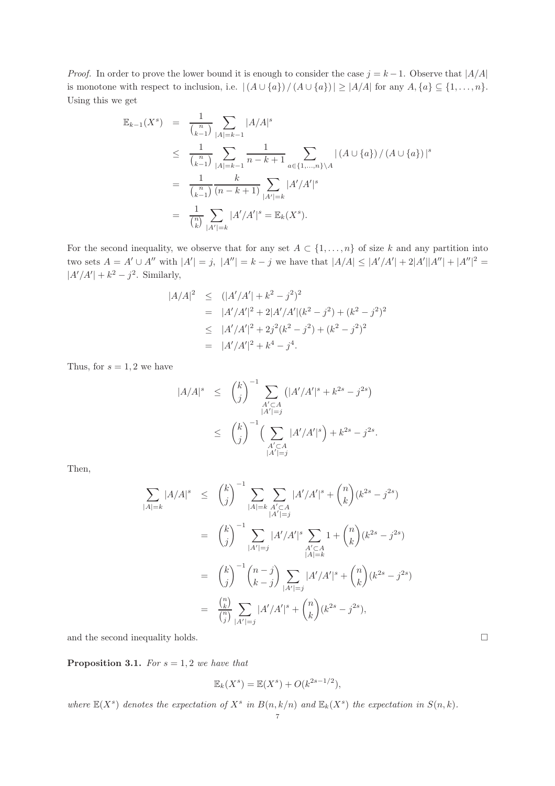*Proof.* In order to prove the lower bound it is enough to consider the case  $j = k - 1$ . Observe that  $|A/A|$ is monotone with respect to inclusion, i.e.  $|(A \cup \{a\})/(A \cup \{a\})| \geq |A/A|$  for any  $A, \{a\} \subseteq \{1, ..., n\}$ . Using this we get

$$
\mathbb{E}_{k-1}(X^s) = \frac{1}{\binom{n}{k-1}} \sum_{|A|=k-1} |A/A|^s
$$
\n
$$
\leq \frac{1}{\binom{n}{k-1}} \sum_{|A|=k-1} \frac{1}{n-k+1} \sum_{a \in \{1, \ldots, n\} \setminus A} |(A \cup \{a\})/(A \cup \{a\})|^s
$$
\n
$$
= \frac{1}{\binom{n}{k-1}} \frac{k}{(n-k+1)} \sum_{|A'|=k} |A'/A'|^s
$$
\n
$$
= \frac{1}{\binom{n}{k}} \sum_{|A'|=k} |A'/A'|^s = \mathbb{E}_k(X^s).
$$

For the second inequality, we observe that for any set  $A \subset \{1, \ldots, n\}$  of size k and any partition into two sets  $A = A' \cup A''$  with  $|A'| = j$ ,  $|A''| = k - j$  we have that  $|A/A| \leq |A'/A'| + 2|A'||A''| + |A''|^2 =$  $|A'/A'| + k^2 - j^2$ . Similarly,

$$
A/A|^2 \leq (|A'/A'| + k^2 - j^2)^2
$$
  
=  $|A'/A'|^2 + 2|A'/A'| (k^2 - j^2) + (k^2 - j^2)^2$   
 $\leq |A'/A'|^2 + 2j^2(k^2 - j^2) + (k^2 - j^2)^2$   
=  $|A'/A'|^2 + k^4 - j^4.$ 

Thus, for  $s = 1, 2$  we have

 $\overline{\phantom{a}}$ 

$$
|A/A|^s \leq {k \choose j}^{-1} \sum_{\substack{A' \subset A \\ |A'| = j}} (|A'/A'|^s + k^{2s} - j^{2s})
$$
  
 
$$
\leq {k \choose j}^{-1} \Big( \sum_{\substack{A' \subset A \\ |A'| = j}} |A'/A'|^s \Big) + k^{2s} - j^{2s}.
$$

Then,

$$
\sum_{|A|=k} |A/A|^s \leq {k \choose j}^{-1} \sum_{|A|=k} \sum_{\substack{A' \subset A \\ |A'|=j}} |A'/A'|^s + {n \choose k} (k^{2s} - j^{2s})
$$
  

$$
= {k \choose j}^{-1} \sum_{|A'|=j} |A'/A'|^s \sum_{\substack{A' \subset A \\ |A|=k}} 1 + {n \choose k} (k^{2s} - j^{2s})
$$
  

$$
= {k \choose j}^{-1} {n-j \choose k-j} \sum_{|A'|=j} |A'/A'|^s + {n \choose k} (k^{2s} - j^{2s})
$$
  

$$
= \frac{{n \choose k}}{n \choose j} \sum_{|A'|=j} |A'/A'|^s + {n \choose k} (k^{2s} - j^{2s}),
$$

and the second inequality holds.

<span id="page-6-0"></span>**Proposition 3.1.** For  $s = 1, 2$  we have that

$$
\mathbb{E}_k(X^s) = \mathbb{E}(X^s) + O(k^{2s-1/2}),
$$

where  $\mathbb{E}(X^s)$  denotes the expectation of  $X^s$  in  $B(n, k/n)$  and  $\mathbb{E}_k(X^s)$  the expectation in  $S(n, k)$ .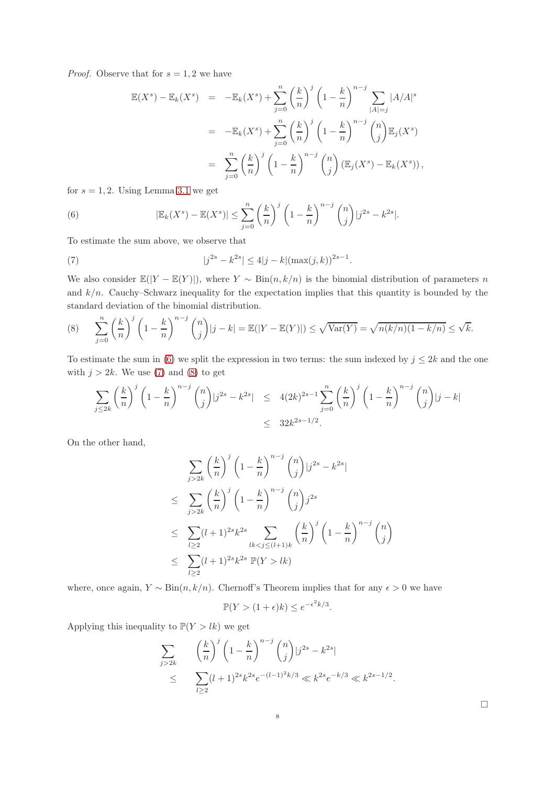*Proof.* Observe that for  $s = 1, 2$  we have

$$
\mathbb{E}(X^s) - \mathbb{E}_k(X^s) = -\mathbb{E}_k(X^s) + \sum_{j=0}^n \left(\frac{k}{n}\right)^j \left(1 - \frac{k}{n}\right)^{n-j} \sum_{|A|=j} |A/A|^s
$$
  

$$
= -\mathbb{E}_k(X^s) + \sum_{j=0}^n \left(\frac{k}{n}\right)^j \left(1 - \frac{k}{n}\right)^{n-j} {n \choose j} \mathbb{E}_j(X^s)
$$
  

$$
= \sum_{j=0}^n \left(\frac{k}{n}\right)^j \left(1 - \frac{k}{n}\right)^{n-j} {n \choose j} (\mathbb{E}_j(X^s) - \mathbb{E}_k(X^s)),
$$

for  $s = 1, 2$ . Using Lemma [3.1](#page-5-0) we get

<span id="page-7-0"></span>(6) 
$$
|\mathbb{E}_k(X^s) - \mathbb{E}(X^s)| \leq \sum_{j=0}^n \left(\frac{k}{n}\right)^j \left(1 - \frac{k}{n}\right)^{n-j} {n \choose j} |j^{2s} - k^{2s}|.
$$

To estimate the sum above, we observe that

<span id="page-7-1"></span>(7) 
$$
|j^{2s} - k^{2s}| \le 4|j - k|(\max(j, k))^{2s - 1}
$$

We also consider  $\mathbb{E}(|Y - \mathbb{E}(Y)|)$ , where  $Y \sim \text{Bin}(n, k/n)$  is the binomial distribution of parameters n and  $k/n$ . Cauchy–Schwarz inequality for the expectation implies that this quantity is bounded by the standard deviation of the binomial distribution.

.

<span id="page-7-2"></span>(8) 
$$
\sum_{j=0}^{n} \left(\frac{k}{n}\right)^j \left(1 - \frac{k}{n}\right)^{n-j} {n \choose j} |j - k| = \mathbb{E}(|Y - \mathbb{E}(Y)|) \le \sqrt{\text{Var}(Y)} = \sqrt{n(k/n)(1 - k/n)} \le \sqrt{k}.
$$

To estimate the sum in [\(6\)](#page-7-0) we split the expression in two terms: the sum indexed by  $j \leq 2k$  and the one with  $j > 2k$ . We use [\(7\)](#page-7-1) and [\(8\)](#page-7-2) to get

$$
\sum_{j\leq 2k} \left(\frac{k}{n}\right)^j \left(1-\frac{k}{n}\right)^{n-j} {n \choose j} j^{2s} - k^{2s} \leq 4(2k)^{2s-1} \sum_{j=0}^n \left(\frac{k}{n}\right)^j \left(1-\frac{k}{n}\right)^{n-j} {n \choose j} |j-k|
$$
  

$$
\leq 32k^{2s-1/2}.
$$

On the other hand,

$$
\sum_{j>2k} \left(\frac{k}{n}\right)^j \left(1 - \frac{k}{n}\right)^{n-j} {n \choose j} j^{2s} - k^{2s}
$$
\n
$$
\leq \sum_{j>2k} \left(\frac{k}{n}\right)^j \left(1 - \frac{k}{n}\right)^{n-j} {n \choose j} j^{2s}
$$
\n
$$
\leq \sum_{l\geq 2} (l+1)^{2s} k^{2s} \sum_{lk < j \leq (l+1)k} \left(\frac{k}{n}\right)^j \left(1 - \frac{k}{n}\right)^{n-j} {n \choose j}
$$
\n
$$
\leq \sum_{l\geq 2} (l+1)^{2s} k^{2s} \mathbb{P}(Y > lk)
$$

where, once again,  $Y \sim Bin(n, k/n)$ . Chernoff's Theorem implies that for any  $\epsilon > 0$  we have

$$
\mathbb{P}(Y > (1 + \epsilon)k) \le e^{-\epsilon^2 k/3}.
$$

Applying this inequality to  $\mathbb{P}(Y > lk)$  we get

$$
\sum_{j>2k} \left(\frac{k}{n}\right)^j \left(1 - \frac{k}{n}\right)^{n-j} {n \choose j} j^{2s} - k^{2s} \n\le \sum_{l\ge 2} (l+1)^{2s} k^{2s} e^{-(l-1)^2 k/3} \ll k^{2s} e^{-k/3} \ll k^{2s-1/2}.
$$

 $\Box$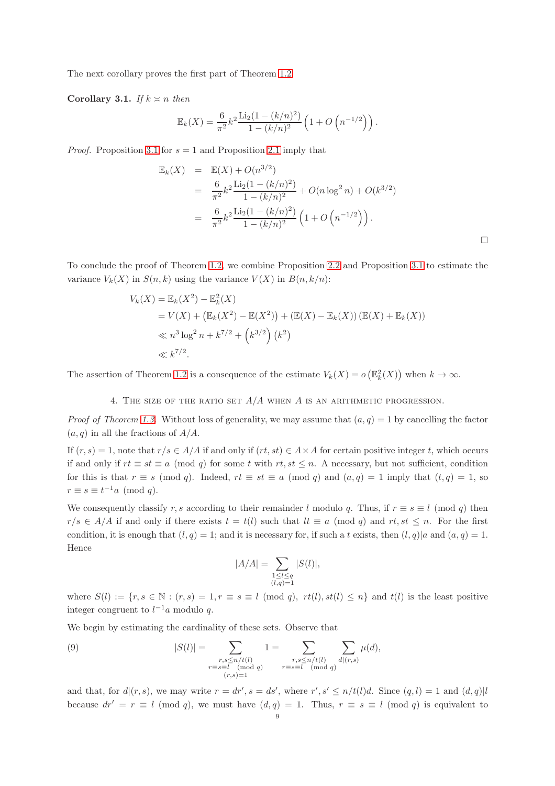The next corollary proves the first part of Theorem [1.2.](#page-1-0)

Corollary 3.1. If  $k \geq n$  then

$$
\mathbb{E}_k(X) = \frac{6}{\pi^2} k^2 \frac{\text{Li}_2(1 - (k/n)^2)}{1 - (k/n)^2} \left(1 + O\left(n^{-1/2}\right)\right).
$$

*Proof.* Proposition [3.1](#page-6-0) for  $s = 1$  and Proposition [2.1](#page-2-1) imply that

$$
\mathbb{E}_k(X) = \mathbb{E}(X) + O(n^{3/2})
$$
  
=  $\frac{6}{\pi^2} k^2 \frac{\text{Li}_2(1 - (k/n)^2)}{1 - (k/n)^2} + O(n \log^2 n) + O(k^{3/2})$   
=  $\frac{6}{\pi^2} k^2 \frac{\text{Li}_2(1 - (k/n)^2)}{1 - (k/n)^2} \left(1 + O\left(n^{-1/2}\right)\right).$ 

 $\Box$ 

To conclude the proof of Theorem [1.2,](#page-1-0) we combine Proposition [2.2](#page-4-3) and Proposition [3.1](#page-6-0) to estimate the variance  $V_k(X)$  in  $S(n, k)$  using the variance  $V(X)$  in  $B(n, k/n)$ :

$$
V_k(X) = \mathbb{E}_k(X^2) - \mathbb{E}_k^2(X)
$$
  
=  $V(X) + (\mathbb{E}_k(X^2) - \mathbb{E}(X^2)) + (\mathbb{E}(X) - \mathbb{E}_k(X)) (\mathbb{E}(X) + \mathbb{E}_k(X))$   
 $\ll n^3 \log^2 n + k^{7/2} + (k^{3/2}) (k^2)$   
 $\ll k^{7/2}.$ 

The assertion of Theorem [1.2](#page-1-0) is a consequence of the estimate  $V_k(X) = o\left(\mathbb{E}_k^2(X)\right)$  when  $k \to \infty$ .

4. THE SIZE OF THE RATIO SET  $A/A$  when A is an arithmetic progression.

*Proof of Theorem [1.3.](#page-1-3)* Without loss of generality, we may assume that  $(a, q) = 1$  by cancelling the factor  $(a, q)$  in all the fractions of  $A/A$ .

If  $(r, s) = 1$ , note that  $r/s \in A/A$  if and only if  $(rt, st) \in A \times A$  for certain positive integer t, which occurs if and only if  $rt \equiv st \equiv a \pmod{q}$  for some t with  $rt, st \leq n$ . A necessary, but not sufficient, condition for this is that  $r \equiv s \pmod{q}$ . Indeed,  $rt \equiv st \equiv a \pmod{q}$  and  $(a,q) = 1$  imply that  $(t,q) = 1$ , so  $r \equiv s \equiv t^{-1}a \pmod{q}.$ 

We consequently classify r, s according to their remainder l modulo q. Thus, if  $r \equiv s \equiv l \pmod{q}$  then  $r/s \in A/A$  if and only if there exists  $t = t(l)$  such that  $lt \equiv a \pmod{q}$  and  $rt, st \leq n$ . For the first condition, it is enough that  $(l, q) = 1$ ; and it is necessary for, if such a t exists, then  $(l, q)|a$  and  $(a, q) = 1$ . Hence

<span id="page-8-0"></span>
$$
|A/A| = \sum_{\substack{1 \leq l \leq q \\ (l,q)=1}} |S(l)|,
$$

where  $S(l) := \{r, s \in \mathbb{N} : (r, s) = 1, r \equiv s \equiv l \pmod{q}, rt(l), st(l) \leq n\}$  and  $t(l)$  is the least positive integer congruent to  $l^{-1}a$  modulo q.

We begin by estimating the cardinality of these sets. Observe that

(9) 
$$
|S(l)| = \sum_{\substack{r,s \le n/t(l) \\ r \equiv s \equiv l \pmod{q}}} 1 = \sum_{\substack{r,s \le n/t(l) \\ r \equiv s \equiv l \pmod{q}}} \sum_{d|(r,s)} \mu(d),
$$

and that, for  $d|(r, s)$ , we may write  $r = dr', s = ds'$ , where  $r', s' \leq n/t(l)d$ . Since  $(q, l) = 1$  and  $(d, q)|l$ because  $dr' = r \equiv l \pmod{q}$ , we must have  $(d, q) = 1$ . Thus,  $r \equiv s \equiv l \pmod{q}$  is equivalent to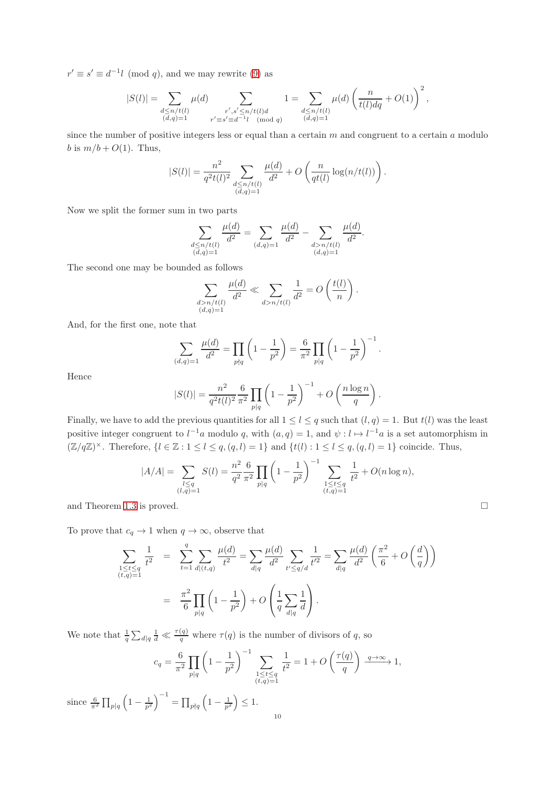$r' \equiv s' \equiv d^{-1}l \pmod{q}$ , and we may rewrite [\(9\)](#page-8-0) as

$$
|S(l)| = \sum_{\substack{d \le n/t(l) \\ (d,q)=1}} \mu(d) \sum_{\substack{r', s' \le n/t(l) d \\ r' \equiv s' \equiv d^{-1}l \pmod{q}}} 1 = \sum_{\substack{d \le n/t(l) \\ (d,q)=1}} \mu(d) \left(\frac{n}{t(l) dq} + O(1)\right)^2,
$$

since the number of positive integers less or equal than a certain  $m$  and congruent to a certain  $a$  modulo b is  $m/b + O(1)$ . Thus,

$$
|S(l)| = \frac{n^2}{q^2 t(l)^2} \sum_{\substack{d \le n/t(l) \\ (d,q)=1}} \frac{\mu(d)}{d^2} + O\left(\frac{n}{qt(l)} \log(n/t(l))\right).
$$

Now we split the former sum in two parts

$$
\sum_{\substack{d \le n/t(l) \\ (d,q)=1}} \frac{\mu(d)}{d^2} = \sum_{(d,q)=1} \frac{\mu(d)}{d^2} - \sum_{\substack{d > n/t(l) \\ (d,q)=1}} \frac{\mu(d)}{d^2}
$$

.

The second one may be bounded as follows

$$
\sum_{\substack{d>n/t(l) \\ (d,q)=1}} \frac{\mu(d)}{d^2} \ll \sum_{d>n/t(l)} \frac{1}{d^2} = O\left(\frac{t(l)}{n}\right).
$$

And, for the first one, note that

$$
\sum_{(d,q)=1} \frac{\mu(d)}{d^2} = \prod_{p \nmid q} \left( 1 - \frac{1}{p^2} \right) = \frac{6}{\pi^2} \prod_{p \mid q} \left( 1 - \frac{1}{p^2} \right)^{-1}.
$$

Hence

$$
|S(l)| = \frac{n^2}{q^2 t(l)^2} \frac{6}{\pi^2} \prod_{p|q} \left(1 - \frac{1}{p^2}\right)^{-1} + O\left(\frac{n \log n}{q}\right).
$$

Finally, we have to add the previous quantities for all  $1 \leq l \leq q$  such that  $(l, q) = 1$ . But  $t(l)$  was the least positive integer congruent to  $l^{-1}a$  modulo q, with  $(a,q) = 1$ , and  $\psi : l \mapsto l^{-1}a$  is a set automorphism in  $(\mathbb{Z}/q\mathbb{Z})^{\times}$ . Therefore,  $\{l \in \mathbb{Z} : 1 \leq l \leq q, (q, l) = 1\}$  and  $\{t(l) : 1 \leq l \leq q, (q, l) = 1\}$  coincide. Thus,

$$
|A/A| = \sum_{\substack{l \le q \\ (l,q)=1}} S(l) = \frac{n^2}{q^2} \frac{6}{\pi^2} \prod_{p|q} \left(1 - \frac{1}{p^2}\right)^{-1} \sum_{\substack{1 \le t \le q \\ (t,q)=1}} \frac{1}{t^2} + O(n \log n),
$$

and Theorem [1.3](#page-1-3) is proved.

To prove that  $c_q \to 1$  when  $q \to \infty$ , observe that

$$
\sum_{\substack{1 \le t \le q \\ (t,q)=1}} \frac{1}{t^2} = \sum_{t=1}^q \sum_{d|(t,q)} \frac{\mu(d)}{t^2} = \sum_{d|q} \frac{\mu(d)}{d^2} \sum_{t' \le q/d} \frac{1}{t'^2} = \sum_{d|q} \frac{\mu(d)}{d^2} \left(\frac{\pi^2}{6} + O\left(\frac{d}{q}\right)\right)
$$

$$
= \frac{\pi^2}{6} \prod_{p|q} \left(1 - \frac{1}{p^2}\right) + O\left(\frac{1}{q} \sum_{d|q} \frac{1}{d}\right).
$$

We note that  $\frac{1}{q} \sum_{d|q} \frac{1}{d} \ll \frac{\tau(q)}{q}$  where  $\tau(q)$  is the number of divisors of q, so

$$
c_q = \frac{6}{\pi^2} \prod_{p|q} \left(1 - \frac{1}{p^2}\right)^{-1} \sum_{\substack{1 \le t \le q \\ (t,q)=1}} \frac{1}{t^2} = 1 + O\left(\frac{\tau(q)}{q}\right) \xrightarrow{q \to \infty} 1,
$$

since  $\frac{6}{\pi^2} \prod_{p|q}$  $\left(1 - \frac{1}{p^2}\right)^{-1} = \prod_{p \nmid q} \left(1 - \frac{1}{p^2}\right) \leq 1.$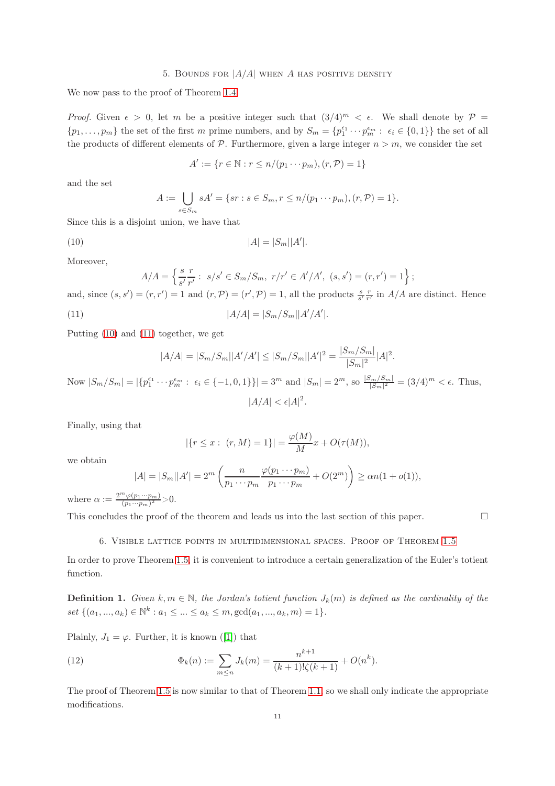## 5. BOUNDS FOR  $|A/A|$  when A has positive density

We now pass to the proof of Theorem [1.4.](#page-1-4)

*Proof.* Given  $\epsilon > 0$ , let m be a positive integer such that  $(3/4)^m < \epsilon$ . We shall denote by  $\mathcal{P} =$  $\{p_1,\ldots,p_m\}$  the set of the first m prime numbers, and by  $S_m = \{p_1^{\epsilon_1} \cdots p_m^{\epsilon_m} : \epsilon_i \in \{0,1\}\}\$  the set of all the products of different elements of  $\mathcal{P}$ . Furthermore, given a large integer  $n > m$ , we consider the set

<span id="page-10-0"></span>
$$
A' := \{ r \in \mathbb{N} : r \le n/(p_1 \cdots p_m), (r, \mathcal{P}) = 1 \}
$$

and the set

$$
A := \bigcup_{s \in S_m} sA' = \{sr : s \in S_m, r \le n/(p_1 \cdots p_m), (r, P) = 1\}.
$$

Since this is a disjoint union, we have that

(10) 
$$
|A| = |S_m||A'|.
$$

Moreover,

$$
A/A = \left\{ \frac{s}{s'} \frac{r}{r'} : s/s' \in S_m / S_m, r/r' \in A'/A', (s, s') = (r, r') = 1 \right\};
$$

and, since  $(s, s') = (r, r') = 1$  and  $(r, \mathcal{P}) = (r', \mathcal{P}) = 1$ , all the products  $\frac{s}{s'} \frac{r}{r'}$  in  $A/A$  are distinct. Hence

(11) 
$$
|A/A| = |S_m/S_m||A'/A'|.
$$

Putting [\(10\)](#page-10-0) and [\(11\)](#page-10-1) together, we get

<span id="page-10-1"></span>
$$
|A/A| = |S_m/S_m||A'/A'| \le |S_m/S_m||A'|^2 = \frac{|S_m/S_m|}{|S_m|^2}|A|^2.
$$

Now  $|S_m/S_m| = |\{p_1^{\epsilon_1} \cdots p_m^{\epsilon_m} : \epsilon_i \in \{-1,0,1\}\}| = 3^m$  and  $|S_m| = 2^m$ , so  $\frac{|S_m/S_m|}{|S_m|^2}$  $\frac{|S_m/S_m|}{|S_m|^2} = (3/4)^m < \epsilon$ . Thus,  $|A/A| < \epsilon |A|^2$ .

Finally, using that

$$
|\{r \le x : (r, M) = 1\}| = \frac{\varphi(M)}{M}x + O(\tau(M)),
$$

we obtain

$$
|A| = |S_m||A'| = 2^m \left( \frac{n}{p_1 \cdots p_m} \frac{\varphi(p_1 \cdots p_m)}{p_1 \cdots p_m} + O(2^m) \right) \ge \alpha n (1 + o(1)),
$$

where  $\alpha := \frac{2^m \varphi(p_1 \cdots p_m)}{(p_1 \cdots p_m)^2}$  $\frac{\varphi(p_1\cdots p_m)}{(p_1\cdots p_m)^2}$  > 0.

This concludes the proof of the theorem and leads us into the last section of this paper.  $\Box$ 

6. Visible lattice points in multidimensional spaces. Proof of Theorem [1.5](#page-1-1)

In order to prove Theorem [1.5,](#page-1-1) it is convenient to introduce a certain generalization of the Euler's totient function.

**Definition 1.** Given  $k, m \in \mathbb{N}$ , the Jordan's totient function  $J_k(m)$  is defined as the cardinality of the set  $\{(a_1, ..., a_k) \in \mathbb{N}^k : a_1 \leq ... \leq a_k \leq m, \gcd(a_1, ..., a_k, m) = 1\}.$ 

Plainly,  $J_1 = \varphi$ . Further, it is known ([\[1\]](#page-12-1)) that

<span id="page-10-2"></span>(12) 
$$
\Phi_k(n) := \sum_{m \le n} J_k(m) = \frac{n^{k+1}}{(k+1)!\zeta(k+1)} + O(n^k).
$$

The proof of Theorem [1.5](#page-1-1) is now similar to that of Theorem [1.1,](#page-0-0) so we shall only indicate the appropriate modifications.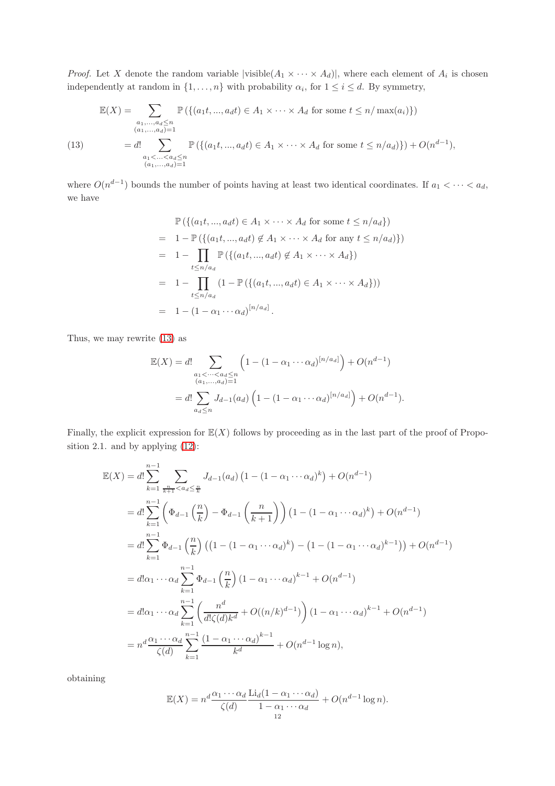*Proof.* Let X denote the random variable  $|$ visible $(A_1 \times \cdots \times A_d)|$ , where each element of  $A_i$  is chosen independently at random in  $\{1, \ldots, n\}$  with probability  $\alpha_i$ , for  $1 \leq i \leq d$ . By symmetry,

<span id="page-11-0"></span>
$$
\mathbb{E}(X) = \sum_{\substack{a_1, ..., a_d \le n \\ (a_1, ..., a_d) = 1}} \mathbb{P}\left(\{(a_1 t, ..., a_d t) \in A_1 \times \cdots \times A_d \text{ for some } t \le n / \max(a_i)\}\right)
$$
\n
$$
= d! \sum_{\substack{a_1 < ... < a_d \le n \\ (a_1, ..., a_d) = 1}} \mathbb{P}\left(\{(a_1 t, ..., a_d t) \in A_1 \times \cdots \times A_d \text{ for some } t \le n / a_d)\}\right) + O(n^{d-1}),
$$

where  $O(n^{d-1})$  bounds the number of points having at least two identical coordinates. If  $a_1 < \cdots < a_d$ , we have

$$
\mathbb{P}\left(\{(a_1t,\ldots,a_dt)\in A_1\times\cdots\times A_d \text{ for some } t\leq n/a_d\}\right)
$$
\n
$$
= 1 - \mathbb{P}\left(\{(a_1t,\ldots,a_dt)\notin A_1\times\cdots\times A_d \text{ for any } t\leq n/a_d\}\right))
$$
\n
$$
= 1 - \prod_{t\leq n/a_d} \mathbb{P}\left(\{(a_1t,\ldots,a_dt)\notin A_1\times\cdots\times A_d\}\right)
$$
\n
$$
= 1 - \prod_{t\leq n/a_d} (1 - \mathbb{P}\left(\{(a_1t,\ldots,a_dt)\in A_1\times\cdots\times A_d\}\right))
$$
\n
$$
= 1 - (1 - \alpha_1\cdots\alpha_d)^{[n/a_d]}.
$$

Thus, we may rewrite [\(13\)](#page-11-0) as

$$
\mathbb{E}(X) = d! \sum_{\substack{a_1 < \dots < a_d \le n \\ (a_1, \dots, a_d) = 1}} \left( 1 - (1 - \alpha_1 \cdots \alpha_d)^{[n/a_d]} \right) + O(n^{d-1})
$$
\n
$$
= d! \sum_{a_d \le n} J_{d-1}(a_d) \left( 1 - (1 - \alpha_1 \cdots \alpha_d)^{[n/a_d]} \right) + O(n^{d-1}).
$$

Finally, the explicit expression for  $\mathbb{E}(X)$  follows by proceeding as in the last part of the proof of Proposition 2.1. and by applying [\(12\)](#page-10-2):

$$
\mathbb{E}(X) = d! \sum_{k=1}^{n-1} \sum_{\frac{n}{k+1} < a_d \leq \frac{n}{k}} J_{d-1}(a_d) \left( 1 - (1 - \alpha_1 \cdots \alpha_d)^k \right) + O(n^{d-1})
$$
\n
$$
= d! \sum_{k=1}^{n-1} \left( \Phi_{d-1} \left( \frac{n}{k} \right) - \Phi_{d-1} \left( \frac{n}{k+1} \right) \right) \left( 1 - (1 - \alpha_1 \cdots \alpha_d)^k \right) + O(n^{d-1})
$$
\n
$$
= d! \sum_{k=1}^{n-1} \Phi_{d-1} \left( \frac{n}{k} \right) \left( \left( 1 - (1 - \alpha_1 \cdots \alpha_d)^k \right) - \left( 1 - (1 - \alpha_1 \cdots \alpha_d)^{k-1} \right) \right) + O(n^{d-1})
$$
\n
$$
= d! \alpha_1 \cdots \alpha_d \sum_{k=1}^{n-1} \Phi_{d-1} \left( \frac{n}{k} \right) \left( 1 - \alpha_1 \cdots \alpha_d \right)^{k-1} + O(n^{d-1})
$$
\n
$$
= d! \alpha_1 \cdots \alpha_d \sum_{k=1}^{n-1} \left( \frac{n^d}{d! \zeta(d) k^d} + O((n/k)^{d-1}) \right) \left( 1 - \alpha_1 \cdots \alpha_d \right)^{k-1} + O(n^{d-1})
$$
\n
$$
= n^d \frac{\alpha_1 \cdots \alpha_d}{\zeta(d)} \sum_{k=1}^{n-1} \frac{\left( 1 - \alpha_1 \cdots \alpha_d \right)^{k-1}}{k^d} + O(n^{d-1} \log n),
$$

obtaining

$$
\mathbb{E}(X) = n^d \frac{\alpha_1 \cdots \alpha_d}{\zeta(d)} \frac{\text{Li}_d(1 - \alpha_1 \cdots \alpha_d)}{1 - \alpha_1 \cdots \alpha_d} + O(n^{d-1} \log n).
$$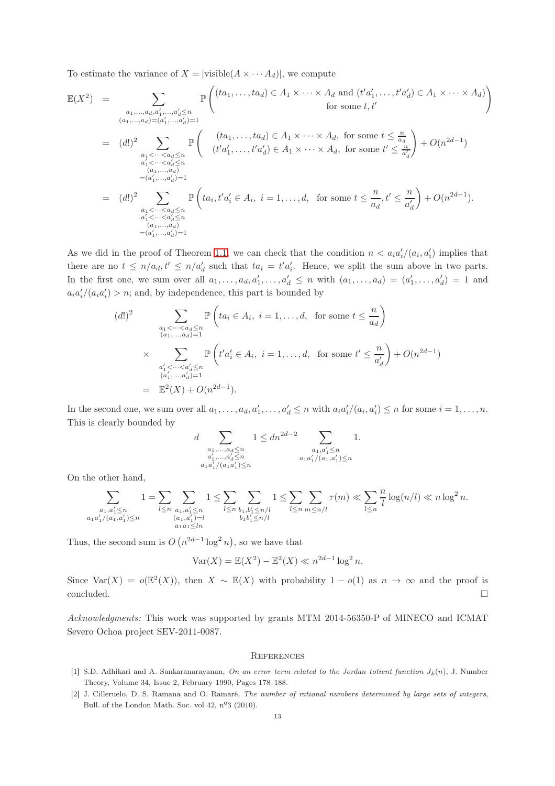To estimate the variance of  $X = |visible(A \times \cdots A_d)|$ , we compute

$$
\mathbb{E}(X^{2}) = \sum_{\substack{a_{1},\ldots,a_{d},a'_{1},\ldots,a'_{d}\leq n \\ (a_{1},\ldots,a_{d})=(a'_{1},\ldots,a'_{d})=1}} \mathbb{P}\left((ta_{1},\ldots,ta_{d})\in A_{1}\times\cdots\times A_{d} \text{ and } (t'a'_{1},\ldots,t'a'_{d})\in A_{1}\times\cdots\times A_{d})\right)
$$
  
\nfor some  $t, t'$   
\n
$$
= (d!)^{2} \sum_{\substack{a_{1}<\cdots  
\n
$$
= (d!)^{2} \sum_{\substack{a_{1}<\cdots
$$
$$

As we did in the proof of Theorem [1.1,](#page-0-0) we can check that the condition  $n < a_i a'_i/(a_i, a'_i)$  implies that there are no  $t \leq n/a_d$ ,  $t' \leq n/a'_d$  such that  $ta_i = t'a'_i$ . Hence, we split the sum above in two parts. In the first one, we sum over all  $a_1, \ldots, a_d, a'_1, \ldots, a'_d \leq n$  with  $(a_1, \ldots, a_d) = (a'_1, \ldots, a'_d) = 1$  and  $a_i a'_i/(a_i a'_i) > n$ ; and, by independence, this part is bounded by

(d!)<sup>2</sup>
$$
\sum_{\substack{a_1 < \dots < a_d \le n \\ (a_1, \dots, a_d) = 1}} \mathbb{P}\left(ta_i \in A_i, i = 1, \dots, d, \text{ for some } t \le \frac{n}{a_d}\right)
$$

$$
\times \sum_{\substack{a'_1 < \dots < a'_d \le n \\ (a'_1, \dots, a'_d) = 1}} \mathbb{P}\left(t'a'_i \in A_i, i = 1, \dots, d, \text{ for some } t' \le \frac{n}{a'_d}\right) + O(n^{2d-1})
$$

$$
= \mathbb{E}^2(X) + O(n^{2d-1}).
$$

In the second one, we sum over all  $a_1, \ldots, a_d, a'_1, \ldots, a'_d \leq n$  with  $a_i a'_i/(a_i, a'_i) \leq n$  for some  $i = 1, \ldots, n$ . This is clearly bounded by

$$
d \sum_{\substack{a_1, \dots, a_d \le n \\ a'_1, \dots, a'_d \le n \\ a_1 a'_1/(a_1 a'_1) \le n}} 1 \le dn^{2d-2} \sum_{\substack{a_1, a'_1 \le n \\ a_1 a'_1/(a_1 a'_1) \le n}} 1.
$$

On the other hand,

$$
\sum_{\substack{a_1, a'_1 \le n \\ a_1 a'_1/(a_1, a'_1) \le n}} 1 = \sum_{l \le n} \sum_{\substack{a_1, a'_1 \le n \\ (a_1, a'_1) = l \\ a_1 a_1 \le ln}} 1 \le \sum_{l \le n} \sum_{\substack{b_1, b'_1 \le n/l \\ b_1 b'_1 \le n/l}} 1 \le \sum_{l \le n} \sum_{m \le n/l} \tau(m) \ll \sum_{l \le n} \frac{n}{l} \log(n/l) \ll n \log^2 n.
$$

Thus, the second sum is  $O(n^{2d-1}\log^2 n)$ , so we have that

$$
Var(X) = \mathbb{E}(X^2) - \mathbb{E}^2(X) \ll n^{2d-1} \log^2 n.
$$

Since Var(X) =  $o(\mathbb{E}^2(X))$ , then  $X \sim \mathbb{E}(X)$  with probability  $1 - o(1)$  as  $n \to \infty$  and the proof is  $\Box$ concluded.

Acknowledgments: This work was supported by grants MTM 2014-56350-P of MINECO and ICMAT Severo Ochoa project SEV-2011-0087.

#### **REFERENCES**

- <span id="page-12-1"></span>[1] S.D. Adhikari and A. Sankaranarayanan, On an error term related to the Jordan totient function  $J_k(n)$ , J. Number Theory, Volume 34, Issue 2, February 1990, Pages 178–188.
- <span id="page-12-0"></span>[2] J. Cilleruelo, D. S. Ramana and O. Ramaré, The number of rational numbers determined by large sets of integers, Bull. of the London Math. Soc. vol  $42$ ,  $n^{\circ}3$  (2010).